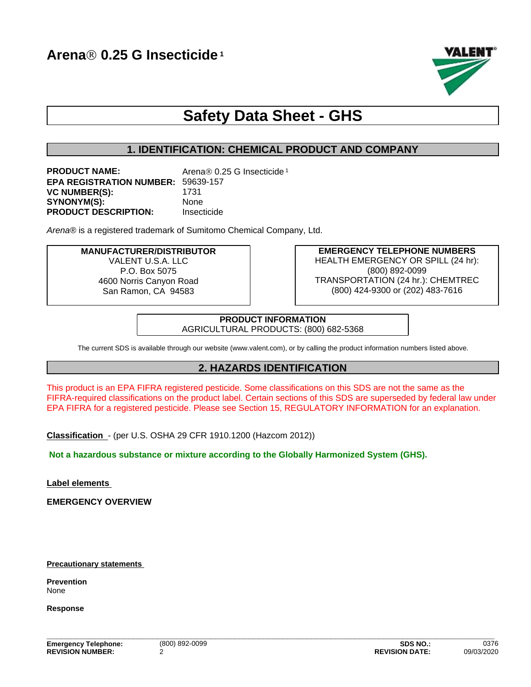

# **Safety Data Sheet - GHS**

## **1. IDENTIFICATION: CHEMICAL PRODUCT AND COMPANY**

| <b>PRODUCT NAME:</b>                      | Arena® 0.25 G Insecticide <sup>1</sup> |
|-------------------------------------------|----------------------------------------|
| <b>EPA REGISTRATION NUMBER: 59639-157</b> |                                        |
| <b>VC NUMBER(S):</b>                      | 1731                                   |
| <b>SYNONYM(S):</b>                        | <b>None</b>                            |
| <b>PRODUCT DESCRIPTION:</b>               | Insecticide                            |

*Arena®* is a registered trademark of Sumitomo Chemical Company, Ltd.

# **MANUFACTURER/DISTRIBUTOR**

VALENT U.S.A. LLC P.O. Box 5075 4600 Norris Canyon Road San Ramon, CA 94583

**EMERGENCY TELEPHONE NUMBERS** HEALTH EMERGENCY OR SPILL (24 hr): (800) 892-0099 TRANSPORTATION (24 hr.): CHEMTREC (800) 424-9300 or (202) 483-7616

**PRODUCT INFORMATION** AGRICULTURAL PRODUCTS: (800) 682-5368

The current SDS is available through our website (www.valent.com), or by calling the product information numbers listed above.

## **2. HAZARDS IDENTIFICATION**

This product is an EPA FIFRA registered pesticide. Some classifications on this SDS are not the same as the FIFRA-required classifications on the product label. Certain sections of this SDS are superseded by federal law under EPA FIFRA for a registered pesticide. Please see Section 15, REGULATORY INFORMATION for an explanation.

**Classification** - (per U.S. OSHA 29 CFR 1910.1200 (Hazcom 2012))

**Not a hazardous substance or mixture according to the Globally Harmonized System (GHS).**

**Label elements** 

**EMERGENCY OVERVIEW**

**Precautionary statements**

**Prevention** None

**Response**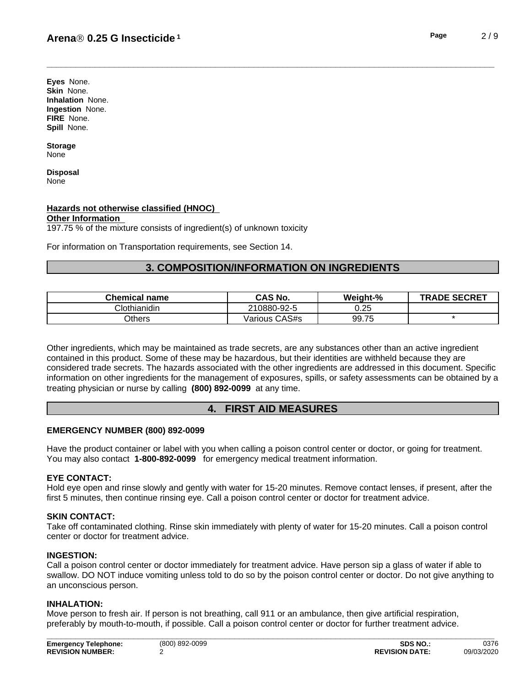**Eyes** None. **Skin** None. **Inhalation** None. **Ingestion** None. **FIRE** None. **Spill** None.

**Storage** None

**Disposal** None

## **Hazards not otherwise classified (HNOC)**

#### **Other Information**

 $197.75$ % of the mixture consists of ingredient(s) of unknown toxicity

For information on Transportation requirements, see Section 14.

## **3. COMPOSITION/INFORMATION ON INGREDIENTS**

| Chemical<br>name | <b>CAS No.</b>   | Weight-% | <b>SECRET</b><br>TRADE |
|------------------|------------------|----------|------------------------|
| othianidinان     | 210880-92-5      | 0.25     |                        |
| <b>Others</b>    | CAS#s<br>/arious | 99.75    |                        |

Other ingredients, which may be maintained as trade secrets, are any substances other than an active ingredient contained in this product. Some of these may be hazardous, but their identities are withheld because they are considered trade secrets. The hazards associated with the otheringredients are addressed in this document. Specific information on other ingredients for the management of exposures, spills, or safety assessments can be obtained by a treating physician or nurse by calling **(800) 892-0099** at any time.

## **4. FIRST AID MEASURES**

#### **EMERGENCY NUMBER (800) 892-0099**

Have the product container or label with you when calling a poison control center or doctor, or going for treatment. You may also contact **1-800-892-0099** for emergency medical treatment information.

#### **EYE CONTACT:**

Hold eye open and rinse slowly and gently with water for 15-20 minutes. Remove contact lenses, if present, after the first 5 minutes, then continue rinsing eye. Call a poison control center or doctor for treatment advice.

#### **SKIN CONTACT:**

Take off contaminated clothing. Rinse skin immediately with plenty of water for 15-20 minutes. Call a poison control center or doctor for treatment advice.

#### **INGESTION:**

Call a poison control center or doctor immediately for treatment advice. Have person sip a glass of water if able to swallow. DO NOT induce vomiting unless told to do so by the poison control center or doctor. Do not give anything to an unconscious person.

#### **INHALATION:**

Move person to fresh air. If person is not breathing, call 911 or an ambulance, then give artificial respiration, preferably by mouth-to-mouth, if possible. Call a poison control center or doctor for further treatment advice.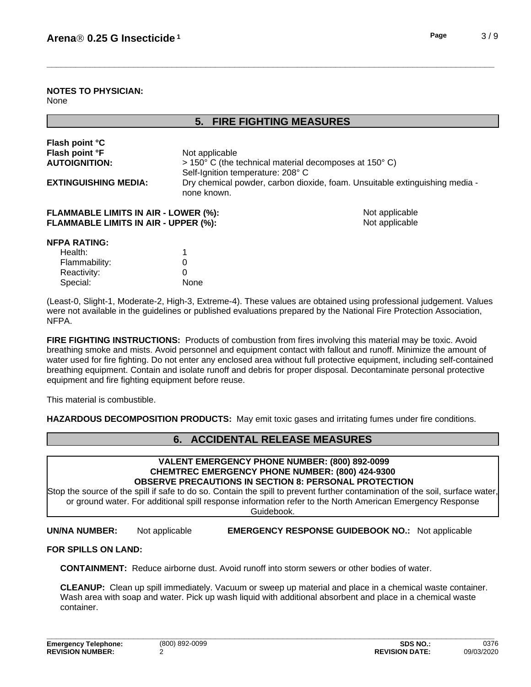## **5. FIRE FIGHTING MEASURES**

| Flash point °C<br>Flash point °F<br><b>AUTOIGNITION:</b>                                   | Not applicable<br>Self-Ignition temperature: 208° C | > 150° C (the technical material decomposes at 150° C)                      |
|--------------------------------------------------------------------------------------------|-----------------------------------------------------|-----------------------------------------------------------------------------|
| <b>EXTINGUISHING MEDIA:</b>                                                                | none known.                                         | Dry chemical powder, carbon dioxide, foam. Unsuitable extinguishing media - |
| <b>FLAMMABLE LIMITS IN AIR - LOWER (%):</b><br><b>FLAMMABLE LIMITS IN AIR - UPPER (%):</b> |                                                     | Not applicable<br>Not applicable                                            |
| <b>NFPA RATING:</b>                                                                        |                                                     |                                                                             |
| Health:                                                                                    |                                                     |                                                                             |
| Flammability:                                                                              | 0                                                   |                                                                             |
| Reactivity:                                                                                | 0                                                   |                                                                             |

(Least-0, Slight-1, Moderate-2, High-3, Extreme-4). These values are obtained using professional judgement. Values were not available in the guidelines or published evaluations prepared by the National Fire Protection Association, NFPA.

**FIRE FIGHTING INSTRUCTIONS:** Products of combustion from fires involving this material may be toxic. Avoid breathing smoke and mists. Avoid personnel and equipment contact with fallout and runoff. Minimize the amount of water used for fire fighting. Do not enter any enclosed area without full protective equipment, including self-contained breathing equipment.Contain and isolate runoff and debris for proper disposal. Decontaminate personal protective equipment and fire fighting equipment before reuse.

This material is combustible.

Special: None

**HAZARDOUS DECOMPOSITION PRODUCTS:** May emit toxic gases and irritating fumes under fire conditions.

# **6. ACCIDENTAL RELEASE MEASURES**

#### **VALENT EMERGENCY PHONE NUMBER: (800) 892-0099 CHEMTREC EMERGENCY PHONE NUMBER: (800) 424-9300 OBSERVE PRECAUTIONS IN SECTION 8: PERSONAL PROTECTION**

Stop the source of the spill if safe to do so. Contain the spill to prevent further contamination of the soil, surface water, or ground water. For additional spill response information refer to the North American Emergency Response Guidebook.

**UN/NA NUMBER:** Not applicable **EMERGENCY RESPONSE GUIDEBOOK NO.:** Not applicable

#### **FOR SPILLS ON LAND:**

**CONTAINMENT:** Reduce airborne dust. Avoid runoff into storm sewers or other bodies of water.

**CLEANUP:** Clean up spill immediately. Vacuum or sweep up material and place in a chemical waste container. Wash area with soap and water. Pick up wash liquid with additional absorbent and place in a chemical waste container.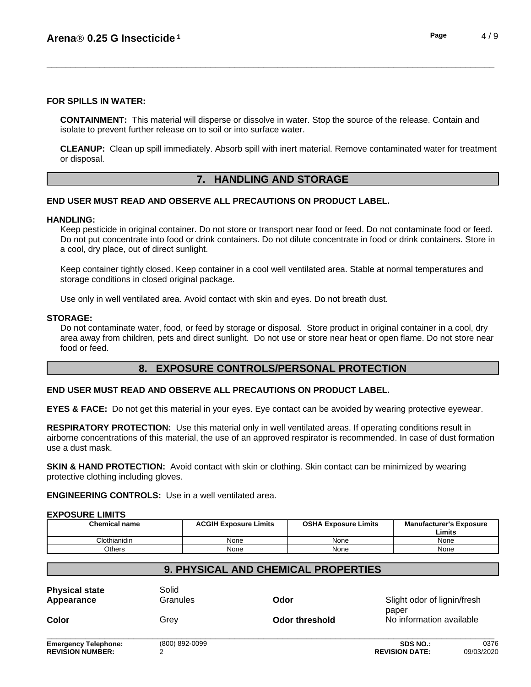## **FOR SPILLS IN WATER:**

**CONTAINMENT:** This material will disperse or dissolve in water. Stop the source of the release. Contain and isolate to prevent further release on to soil or into surface water.

**CLEANUP:** Clean up spill immediately. Absorb spill with inert material. Remove contaminated water for treatment or disposal.

# **7. HANDLING AND STORAGE**

# **END USER MUST READ AND OBSERVE ALL PRECAUTIONS ON PRODUCT LABEL.**

## **HANDLING:**

Keep pesticide in original container. Do not store or transport near food or feed. Do not contaminate food or feed. Do not put concentrate into food or drink containers. Do not dilute concentrate in food or drink containers. Store in a cool, dry place, out of direct sunlight.

Keep container tightly closed. Keep container in a cool well ventilated area. Stable at normal temperatures and storage conditions in closed original package.

Use only in well ventilated area. Avoid contact with skin and eyes. Do not breath dust.

## **STORAGE:**

Do not contaminate water, food, or feed by storage or disposal. Store product in original container in a cool, dry area away from children, pets and direct sunlight. Do not use or store near heat or open flame. Do not store near food or feed.

# **8. EXPOSURE CONTROLS/PERSONAL PROTECTION**

## **END USER MUST READ AND OBSERVE ALL PRECAUTIONS ON PRODUCT LABEL.**

**EYES & FACE:** Do not get this material in your eyes. Eye contact can be avoided by wearing protective eyewear.

**RESPIRATORY PROTECTION:** Use this material only in well ventilated areas. If operating conditions result in airborne concentrations of this material, the use of an approved respirator is recommended. In case of dust formation use a dust mask.

**SKIN & HAND PROTECTION:** Avoid contact with skin or clothing. Skin contact can be minimized by wearing protective clothing including gloves.

**ENGINEERING CONTROLS:** Use in a well ventilated area.

## **EXPOSURE LIMITS**

| <b>Chemical name</b> | <b>ACGIH Exposure Limits</b> | <b>OSHA Exposure Limits</b> | <b>Manufacturer's Exposure</b><br>Limits |
|----------------------|------------------------------|-----------------------------|------------------------------------------|
| Clothianidin         | None                         | None                        | None                                     |
| Others               | None                         | None                        | None                                     |

# **9. PHYSICAL AND CHEMICAL PROPERTIES Physical state** Solid

| Appearance                                             | Granules       | Odor           | Slight odor of lignin/fresh<br>paper     |                          |  |
|--------------------------------------------------------|----------------|----------------|------------------------------------------|--------------------------|--|
| <b>Color</b>                                           | Grey           | Odor threshold |                                          | No information available |  |
| <b>Emergency Telephone:</b><br><b>REVISION NUMBER:</b> | (800) 892-0099 |                | <b>SDS NO.:</b><br><b>REVISION DATE:</b> | 0376<br>09/03/2020       |  |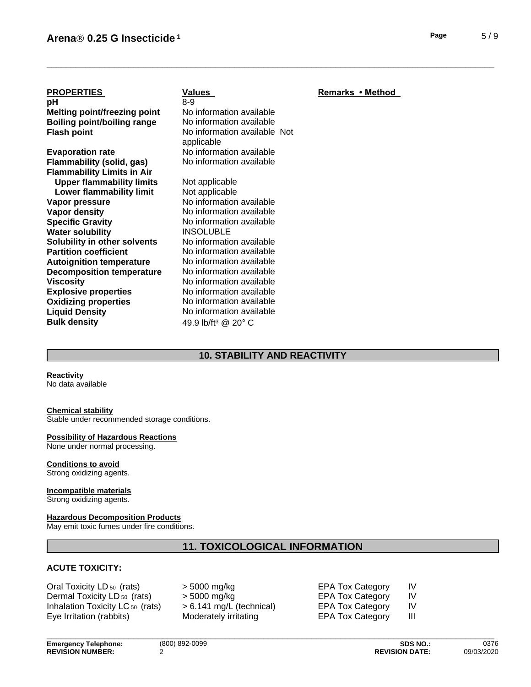| Page |  | 5/9 |
|------|--|-----|
|      |  |     |

| <b>PROPERTIES</b>                         | Values                            | Remarks • Method |  |
|-------------------------------------------|-----------------------------------|------------------|--|
| рH<br><b>Melting point/freezing point</b> | $8-9$<br>No information available |                  |  |
| <b>Boiling point/boiling range</b>        | No information available          |                  |  |
| <b>Flash point</b>                        | No information available Not      |                  |  |
|                                           | applicable                        |                  |  |
| <b>Evaporation rate</b>                   | No information available          |                  |  |
| Flammability (solid, gas)                 | No information available          |                  |  |
| <b>Flammability Limits in Air</b>         |                                   |                  |  |
| <b>Upper flammability limits</b>          | Not applicable                    |                  |  |
| Lower flammability limit                  | Not applicable                    |                  |  |
| Vapor pressure                            | No information available          |                  |  |
| Vapor density                             | No information available          |                  |  |
| <b>Specific Gravity</b>                   | No information available          |                  |  |
| <b>Water solubility</b>                   | <b>INSOLUBLE</b>                  |                  |  |
| Solubility in other solvents              | No information available          |                  |  |
| <b>Partition coefficient</b>              | No information available          |                  |  |
| <b>Autoignition temperature</b>           | No information available          |                  |  |
| <b>Decomposition temperature</b>          | No information available          |                  |  |
| <b>Viscosity</b>                          | No information available          |                  |  |
| <b>Explosive properties</b>               | No information available          |                  |  |
| <b>Oxidizing properties</b>               | No information available          |                  |  |
| <b>Liquid Density</b>                     | No information available          |                  |  |
| <b>Bulk density</b>                       | 49.9 lb/ft <sup>3</sup> @ 20° C   |                  |  |
|                                           |                                   |                  |  |

## **10. STABILITY AND REACTIVITY**

#### **Reactivity**

No data available

#### **Chemical stability**

Stable under recommended storage conditions.

#### **Possibility of Hazardous Reactions**

None under normal processing.

## **Conditions to avoid**

Strong oxidizing agents.

#### **Incompatible materials**

Strong oxidizing agents.

## **Hazardous Decomposition Products**

May emit toxic fumes under fire conditions.

# **11. TOXICOLOGICAL INFORMATION**

## **ACUTE TOXICITY:**

Oral Toxicity LD 50 (rats) > 5000 mg/kg EPA Tox Category IV Dermal Toxicity LD 50 (rats) Inhalation Toxicity LC <sub>50</sub> (rats)  $\Rightarrow$  6.141 mg/L (technical) EPA Tox Category IV Eye Irritation (rabbits) Moderately irritating EPA Tox Category III

| > 5000 mg/kg             |
|--------------------------|
| > 5000 mg/kg             |
| > 6.141 mg/L (technical) |
| Moderately irritating    |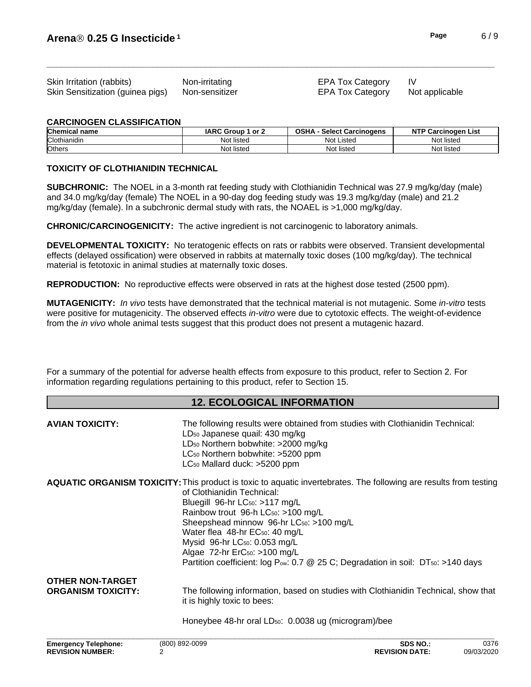| Skin Irritation (rabbits)        | Non-irritating | <b>EPA Tox Category</b> |                |
|----------------------------------|----------------|-------------------------|----------------|
| Skin Sensitization (guinea pigs) | Non-sensitizer | EPA Tox Category        | Not applicable |

#### **CARCINOGEN CLASSIFICATION**

| <b>Chemical name</b> | <b>IARC Group</b><br>or 2 | <b>OSHA</b><br><b>Select</b><br>t Carcinogens | <b>NT</b><br>Carcinogen<br>List |
|----------------------|---------------------------|-----------------------------------------------|---------------------------------|
| Clothianidin         | Not<br>∶ listed           | Not<br>: Listec                               | Not listed                      |
| <b>Others</b>        | Not 1<br>∶ listed         | Not listed                                    | Not listec                      |

#### **TOXICITY OF CLOTHIANIDIN TECHNICAL**

**SUBCHRONIC:** The NOEL in a 3-month rat feeding study with Clothianidin Technical was 27.9 mg/kg/day (male) and 34.0 mg/kg/day (female) The NOEL in a 90-day dog feeding study was 19.3 mg/kg/day (male) and 21.2 mg/kg/day (female). In a subchronic dermal study with rats, the NOAEL is  $>1,000$  mg/kg/day.

**CHRONIC/CARCINOGENICITY:** The active ingredient is not carcinogenic to laboratory animals.

**DEVELOPMENTAL TOXICITY:** No teratogenic effects on rats or rabbits were observed. Transient developmental effects (delayed ossification) were observed in rabbits at maternally toxic doses (100 mg/kg/day). The technical material is fetotoxic in animal studies at maternally toxic doses.

**REPRODUCTION:** No reproductive effects were observed in rats at the highest dose tested (2500 ppm).

**MUTAGENICITY:** *In vivo* tests have demonstrated that the technical material is not mutagenic. Some *in-vitro* tests were positive for mutagenicity. The observed effects *in-vitro* were due to cytotoxic effects. The weight-of-evidence from the *in vivo* whole animal tests suggest that this product does not present a mutagenic hazard.

For a summary of the potential for adverse health effects from exposure to this product, refer to Section 2. For information regarding regulations pertaining to this product, refer to Section 15.

## **12. ECOLOGICAL INFORMATION**

| <b>AVIAN TOXICITY:</b>                               | LD <sub>50</sub> Japanese quail: 430 mg/kg<br>LD <sub>50</sub> Northern bobwhite: >2000 mg/kg<br>LC <sub>50</sub> Northern bobwhite: >5200 ppm<br>LC <sub>50</sub> Mallard duck: >5200 ppm                                                                                                                                                                                                                                                                | The following results were obtained from studies with Clothianidin Technical:                              |      |
|------------------------------------------------------|-----------------------------------------------------------------------------------------------------------------------------------------------------------------------------------------------------------------------------------------------------------------------------------------------------------------------------------------------------------------------------------------------------------------------------------------------------------|------------------------------------------------------------------------------------------------------------|------|
|                                                      | <b>AQUATIC ORGANISM TOXICITY:</b> This product is toxic to aquatic invertebrates. The following are results from testing<br>of Clothianidin Technical:<br>Bluegill 96-hr LC <sub>50</sub> : >117 mg/L<br>Rainbow trout 96-h LC <sub>50</sub> : >100 mg/L<br>Sheepshead minnow 96-hr LC <sub>50</sub> : >100 mg/L<br>Water flea 48-hr EC <sub>50</sub> : 40 mg/L<br>Mysid 96-hr LC <sub>50</sub> : 0.053 mg/L<br>Algae 72-hr ErC <sub>50</sub> : >100 mg/L | Partition coefficient: log P <sub>ov</sub> : 0.7 @ 25 C; Degradation in soil: DT <sub>50</sub> : >140 days |      |
| <b>OTHER NON-TARGET</b><br><b>ORGANISM TOXICITY:</b> | it is highly toxic to bees:                                                                                                                                                                                                                                                                                                                                                                                                                               | The following information, based on studies with Clothianidin Technical, show that                         |      |
|                                                      | Honeybee 48-hr oral LD <sub>50</sub> : 0.0038 ug (microgram)/bee                                                                                                                                                                                                                                                                                                                                                                                          |                                                                                                            |      |
| <b>Emergency Telephone:</b>                          | (800) 892-0099                                                                                                                                                                                                                                                                                                                                                                                                                                            | <b>SDS NO.:</b>                                                                                            | 0376 |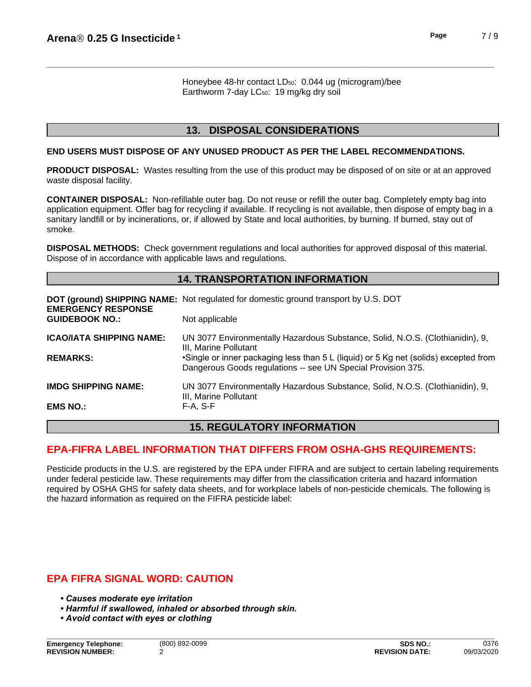Honeybee 48-hr contact LD<sub>50</sub>: 0.044 ug (microgram)/bee Earthworm 7-day LC<sub>50</sub>: 19 mg/kg dry soil

## **13. DISPOSAL CONSIDERATIONS**

#### **END USERS MUST DISPOSE OF ANY UNUSED PRODUCT AS PER THE LABEL RECOMMENDATIONS.**

**PRODUCT DISPOSAL:** Wastes resulting from the use of this product may be disposed of on site or at an approved waste disposal facility.

**CONTAINER DISPOSAL:** Non-refillable outer bag. Do not reuse or refillthe outer bag. Completely empty bag into application equipment. Offer bag for recycling if available. If recycling is not available, then dispose of empty bag in a sanitary landfill or by incinerations, or, if allowed by State and local authorities, by burning. If burned, stay out of smoke.

**DISPOSAL METHODS:** Check government regulations and local authorities for approved disposal of this material. Dispose of in accordance with applicable laws and regulations.

## **14. TRANSPORTATION INFORMATION**

| <b>EMERGENCY RESPONSE</b>       | <b>DOT (ground) SHIPPING NAME:</b> Not regulated for domestic ground transport by U.S. DOT                                                           |
|---------------------------------|------------------------------------------------------------------------------------------------------------------------------------------------------|
| <b>GUIDEBOOK NO.:</b>           | Not applicable                                                                                                                                       |
| <b>ICAO/IATA SHIPPING NAME:</b> | UN 3077 Environmentally Hazardous Substance, Solid, N.O.S. (Clothianidin), 9,<br>III, Marine Pollutant                                               |
| <b>REMARKS:</b>                 | •Single or inner packaging less than 5 L (liquid) or 5 Kg net (solids) excepted from<br>Dangerous Goods regulations -- see UN Special Provision 375. |
| <b>IMDG SHIPPING NAME:</b>      | UN 3077 Environmentally Hazardous Substance, Solid, N.O.S. (Clothianidin), 9,<br>III, Marine Pollutant                                               |
| <b>EMS NO.:</b>                 | F-A, S-F                                                                                                                                             |

## **15. REGULATORY INFORMATION**

# **EPA-FIFRA LABEL INFORMATION THAT DIFFERS FROM OSHA-GHS REQUIREMENTS:**

Pesticide products in the U.S. are registered by the EPA under FIFRA and are subject to certain labeling requirements under federal pesticide law. These requirements may differ from the classification criteria and hazard information required by OSHA GHS for safety data sheets, and for workplace labels of non-pesticide chemicals. The following is the hazard information as required on the FIFRA pesticide label:

# **EPA FIFRA SIGNAL WORD: CAUTION**

- **Causes moderate eye irritation**
- **Harmful if swallowed, inhaled or absorbed through skin.**
- *•Avoidcontactwitheyesorclothing*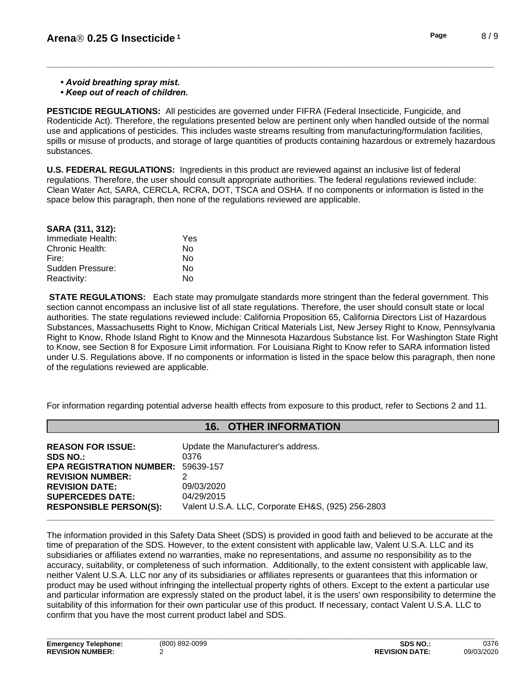**• Avoid breathing spray mist.** 

*•Keepoutofreachofchildren.*

**PESTICIDE REGULATIONS:** All pesticides are governed under FIFRA (Federal Insecticide, Fungicide, and Rodenticide Act). Therefore, the regulations presented below are pertinent only when handled outside of the normal use and applications of pesticides. This includes waste streams resulting from manufacturing/formulation facilities, spills or misuse of products, and storage of large quantities of products containing hazardous or extremely hazardous substances.

**U.S. FEDERAL REGULATIONS:** Ingredients in this product are reviewed against an inclusive list of federal regulations. Therefore, the user should consult appropriate authorities. The federal regulations reviewed include: Clean Water Act, SARA, CERCLA, RCRA, DOT, TSCA and OSHA. If no components or information islisted in the space below this paragraph, then none of the regulations reviewed are applicable.

| Yes |
|-----|
| N٥  |
| N٥  |
| N٥  |
| No  |
|     |

**STATE REGULATIONS:** Each state may promulgate standards more stringent than the federal government. This section cannot encompass an inclusive list of all state regulations. Therefore, the user should consult state or local authorities. The state regulations reviewed include: California Proposition 65, California Directors List of Hazardous Substances, Massachusetts Right to Know, Michigan Critical Materials List, New Jersey Right to Know, Pennsylvania Right to Know, Rhode Island Right to Know and the Minnesota Hazardous Substance list. For Washington State Right to Know, see Section 8 for Exposure Limit information. For Louisiana Right to Know refer to SARA information listed under U.S. Regulations above. If no components or information is listed in the space below this paragraph, then none of the regulations reviewed are applicable.

For information regarding potential adverse health effects from exposure to this product, refer to Sections 2 and 11.

## **16. OTHER INFORMATION**

| <b>REASON FOR ISSUE:</b>        | Update the Manufacturer's address.                |
|---------------------------------|---------------------------------------------------|
| <b>SDS NO.:</b>                 | 0376                                              |
| <b>EPA REGISTRATION NUMBER:</b> | 59639-157                                         |
| <b>REVISION NUMBER:</b>         |                                                   |
| <b>REVISION DATE:</b>           | 09/03/2020                                        |
| <b>SUPERCEDES DATE:</b>         | 04/29/2015                                        |
| <b>RESPONSIBLE PERSON(S):</b>   | Valent U.S.A. LLC, Corporate EH&S, (925) 256-2803 |
|                                 |                                                   |

The information provided in this Safety Data Sheet (SDS) is provided in good faith and believed to be accurate at the time of preparation of the SDS. However, to the extent consistent with applicable law, Valent U.S.A. LLC and its subsidiaries or affiliates extend no warranties, make no representations, and assume no responsibility as to the accuracy, suitability, or completeness of such information. Additionally, to the extent consistent with applicable law, neither Valent U.S.A. LLC nor any of its subsidiaries or affiliates represents or guarantees that this information or product may be used without infringing the intellectual property rights of others. Except to the extent a particular use and particular information are expressly stated on the product label, it is the users' own responsibility to determine the suitability of this information for their own particular use of this product. If necessary, contact Valent U.S.A. LLC to confirm that you have the most current product label and SDS.